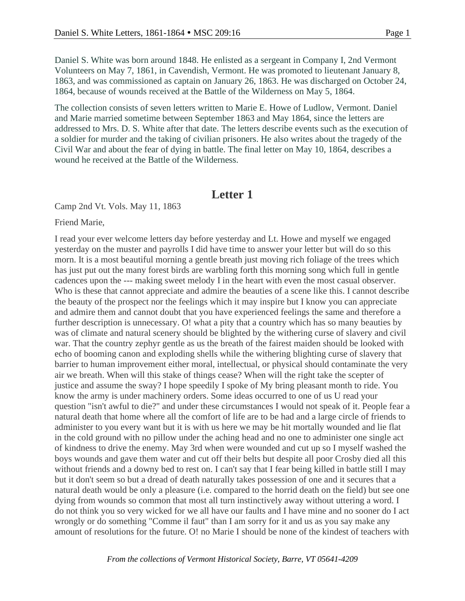Daniel S. White was born around 1848. He enlisted as a sergeant in Company I, 2nd Vermont Volunteers on May 7, 1861, in Cavendish, Vermont. He was promoted to lieutenant January 8, 1863, and was commissioned as captain on January 26, 1863. He was discharged on October 24, 1864, because of wounds received at the Battle of the Wilderness on May 5, 1864.

The collection consists of seven letters written to Marie E. Howe of Ludlow, Vermont. Daniel and Marie married sometime between September 1863 and May 1864, since the letters are addressed to Mrs. D. S. White after that date. The letters describe events such as the execution of a soldier for murder and the taking of civilian prisoners. He also writes about the tragedy of the Civil War and about the fear of dying in battle. The final letter on May 10, 1864, describes a wound he received at the Battle of the Wilderness.

#### **Letter 1**

Camp 2nd Vt. Vols. May 11, 1863

Friend Marie,

I read your ever welcome letters day before yesterday and Lt. Howe and myself we engaged yesterday on the muster and payrolls I did have time to answer your letter but will do so this morn. It is a most beautiful morning a gentle breath just moving rich foliage of the trees which has just put out the many forest birds are warbling forth this morning song which full in gentle cadences upon the --- making sweet melody I in the heart with even the most casual observer. Who is these that cannot appreciate and admire the beauties of a scene like this. I cannot describe the beauty of the prospect nor the feelings which it may inspire but I know you can appreciate and admire them and cannot doubt that you have experienced feelings the same and therefore a further description is unnecessary. O! what a pity that a country which has so many beauties by was of climate and natural scenery should be blighted by the withering curse of slavery and civil war. That the country zephyr gentle as us the breath of the fairest maiden should be looked with echo of booming canon and exploding shells while the withering blighting curse of slavery that barrier to human improvement either moral, intellectual, or physical should contaminate the very air we breath. When will this stake of things cease? When will the right take the scepter of justice and assume the sway? I hope speedily I spoke of My bring pleasant month to ride. You know the army is under machinery orders. Some ideas occurred to one of us U read your question "isn't awful to die?" and under these circumstances I would not speak of it. People fear a natural death that home where all the comfort of life are to be had and a large circle of friends to administer to you every want but it is with us here we may be hit mortally wounded and lie flat in the cold ground with no pillow under the aching head and no one to administer one single act of kindness to drive the enemy. May 3rd when were wounded and cut up so I myself washed the boys wounds and gave them water and cut off their belts but despite all poor Crosby died all this without friends and a downy bed to rest on. I can't say that I fear being killed in battle still I may but it don't seem so but a dread of death naturally takes possession of one and it secures that a natural death would be only a pleasure (i.e. compared to the horrid death on the field) but see one dying from wounds so common that most all turn instinctively away without uttering a word. I do not think you so very wicked for we all have our faults and I have mine and no sooner do I act wrongly or do something "Comme il faut" than I am sorry for it and us as you say make any amount of resolutions for the future. O! no Marie I should be none of the kindest of teachers with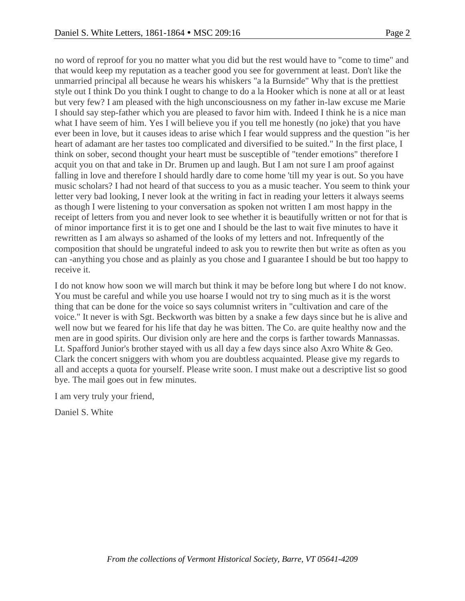no word of reproof for you no matter what you did but the rest would have to "come to time" and that would keep my reputation as a teacher good you see for government at least. Don't like the unmarried principal all because he wears his whiskers "a la Burnside" Why that is the prettiest style out I think Do you think I ought to change to do a la Hooker which is none at all or at least but very few? I am pleased with the high unconsciousness on my father in-law excuse me Marie I should say step-father which you are pleased to favor him with. Indeed I think he is a nice man what I have seem of him. Yes I will believe you if you tell me honestly (no joke) that you have ever been in love, but it causes ideas to arise which I fear would suppress and the question "is her heart of adamant are her tastes too complicated and diversified to be suited." In the first place, I think on sober, second thought your heart must be susceptible of "tender emotions" therefore I acquit you on that and take in Dr. Brumen up and laugh. But I am not sure I am proof against falling in love and therefore I should hardly dare to come home 'till my year is out. So you have music scholars? I had not heard of that success to you as a music teacher. You seem to think your letter very bad looking, I never look at the writing in fact in reading your letters it always seems as though I were listening to your conversation as spoken not written I am most happy in the receipt of letters from you and never look to see whether it is beautifully written or not for that is of minor importance first it is to get one and I should be the last to wait five minutes to have it rewritten as I am always so ashamed of the looks of my letters and not. Infrequently of the composition that should be ungrateful indeed to ask you to rewrite then but write as often as you can -anything you chose and as plainly as you chose and I guarantee I should be but too happy to receive it.

I do not know how soon we will march but think it may be before long but where I do not know. You must be careful and while you use hoarse I would not try to sing much as it is the worst thing that can be done for the voice so says columnist writers in "cultivation and care of the voice." It never is with Sgt. Beckworth was bitten by a snake a few days since but he is alive and well now but we feared for his life that day he was bitten. The Co. are quite healthy now and the men are in good spirits. Our division only are here and the corps is farther towards Mannassas. Lt. Spafford Junior's brother stayed with us all day a few days since also Axro White & Geo. Clark the concert sniggers with whom you are doubtless acquainted. Please give my regards to all and accepts a quota for yourself. Please write soon. I must make out a descriptive list so good bye. The mail goes out in few minutes.

I am very truly your friend,

Daniel S. White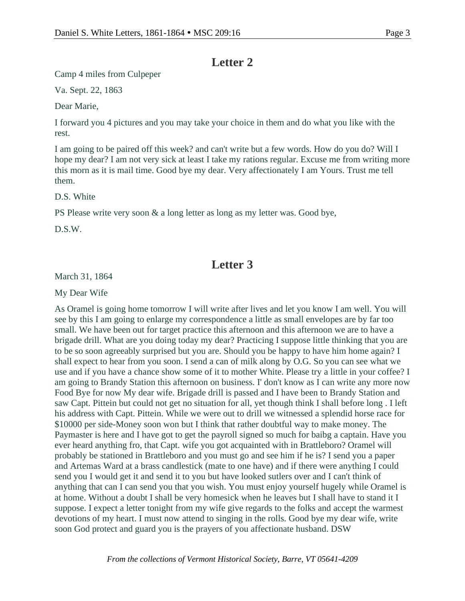## **Letter 2**

Camp 4 miles from Culpeper

Va. Sept. 22, 1863

Dear Marie,

I forward you 4 pictures and you may take your choice in them and do what you like with the rest.

I am going to be paired off this week? and can't write but a few words. How do you do? Will I hope my dear? I am not very sick at least I take my rations regular. Excuse me from writing more this morn as it is mail time. Good bye my dear. Very affectionately I am Yours. Trust me tell them.

D.S. White

PS Please write very soon & a long letter as long as my letter was. Good bye,

D.S.W.

## **Letter 3**

March 31, 1864

My Dear Wife

As Oramel is going home tomorrow I will write after lives and let you know I am well. You will see by this I am going to enlarge my correspondence a little as small envelopes are by far too small. We have been out for target practice this afternoon and this afternoon we are to have a brigade drill. What are you doing today my dear? Practicing I suppose little thinking that you are to be so soon agreeably surprised but you are. Should you be happy to have him home again? I shall expect to hear from you soon. I send a can of milk along by O.G. So you can see what we use and if you have a chance show some of it to mother White. Please try a little in your coffee? I am going to Brandy Station this afternoon on business. I' don't know as I can write any more now Food Bye for now My dear wife. Brigade drill is passed and I have been to Brandy Station and saw Capt. Pittein but could not get no situation for all, yet though think I shall before long . I left his address with Capt. Pittein. While we were out to drill we witnessed a splendid horse race for \$10000 per side-Money soon won but I think that rather doubtful way to make money. The Paymaster is here and I have got to get the payroll signed so much for baibg a captain. Have you ever heard anything fro, that Capt. wife you got acquainted with in Brattleboro? Oramel will probably be stationed in Brattleboro and you must go and see him if he is? I send you a paper and Artemas Ward at a brass candlestick (mate to one have) and if there were anything I could send you I would get it and send it to you but have looked sutlers over and I can't think of anything that can I can send you that you wish. You must enjoy yourself hugely while Oramel is at home. Without a doubt I shall be very homesick when he leaves but I shall have to stand it I suppose. I expect a letter tonight from my wife give regards to the folks and accept the warmest devotions of my heart. I must now attend to singing in the rolls. Good bye my dear wife, write soon God protect and guard you is the prayers of you affectionate husband. DSW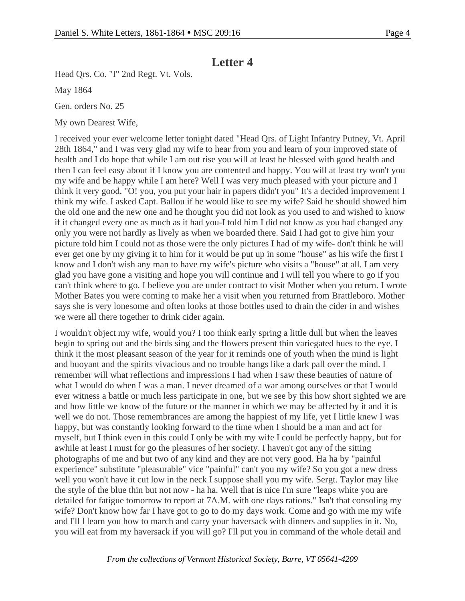# **Letter 4**

Head Qrs. Co. "I" 2nd Regt. Vt. Vols.

May 1864

Gen. orders No. 25

My own Dearest Wife,

I received your ever welcome letter tonight dated "Head Qrs. of Light Infantry Putney, Vt. April 28th 1864," and I was very glad my wife to hear from you and learn of your improved state of health and I do hope that while I am out rise you will at least be blessed with good health and then I can feel easy about if I know you are contented and happy. You will at least try won't you my wife and be happy while I am here? Well I was very much pleased with your picture and I think it very good. "O! you, you put your hair in papers didn't you" It's a decided improvement I think my wife. I asked Capt. Ballou if he would like to see my wife? Said he should showed him the old one and the new one and he thought you did not look as you used to and wished to know if it changed every one as much as it had you-I told him I did not know as you had changed any only you were not hardly as lively as when we boarded there. Said I had got to give him your picture told him I could not as those were the only pictures I had of my wife- don't think he will ever get one by my giving it to him for it would be put up in some "house" as his wife the first I know and I don't wish any man to have my wife's picture who visits a "house" at all. I am very glad you have gone a visiting and hope you will continue and I will tell you where to go if you can't think where to go. I believe you are under contract to visit Mother when you return. I wrote Mother Bates you were coming to make her a visit when you returned from Brattleboro. Mother says she is very lonesome and often looks at those bottles used to drain the cider in and wishes we were all there together to drink cider again.

I wouldn't object my wife, would you? I too think early spring a little dull but when the leaves begin to spring out and the birds sing and the flowers present thin variegated hues to the eye. I think it the most pleasant season of the year for it reminds one of youth when the mind is light and buoyant and the spirits vivacious and no trouble hangs like a dark pall over the mind. I remember will what reflections and impressions I had when I saw these beauties of nature of what I would do when I was a man. I never dreamed of a war among ourselves or that I would ever witness a battle or much less participate in one, but we see by this how short sighted we are and how little we know of the future or the manner in which we may be affected by it and it is well we do not. Those remembrances are among the happiest of my life, yet I little knew I was happy, but was constantly looking forward to the time when I should be a man and act for myself, but I think even in this could I only be with my wife I could be perfectly happy, but for awhile at least I must for go the pleasures of her society. I haven't got any of the sitting photographs of me and but two of any kind and they are not very good. Ha ha by "painful experience" substitute "pleasurable" vice "painful" can't you my wife? So you got a new dress well you won't have it cut low in the neck I suppose shall you my wife. Sergt. Taylor may like the style of the blue thin but not now - ha ha. Well that is nice I'm sure "leaps white you are detailed for fatigue tomorrow to report at 7A.M. with one days rations." Isn't that consoling my wife? Don't know how far I have got to go to do my days work. Come and go with me my wife and I'll l learn you how to march and carry your haversack with dinners and supplies in it. No, you will eat from my haversack if you will go? I'll put you in command of the whole detail and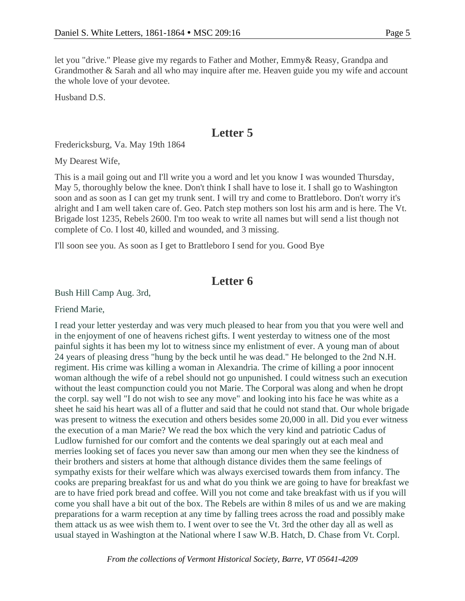let you "drive." Please give my regards to Father and Mother, Emmy& Reasy, Grandpa and Grandmother & Sarah and all who may inquire after me. Heaven guide you my wife and account the whole love of your devotee.

Husband D.S.

## **Letter 5**

Fredericksburg, Va. May 19th 1864

My Dearest Wife,

This is a mail going out and I'll write you a word and let you know I was wounded Thursday, May 5, thoroughly below the knee. Don't think I shall have to lose it. I shall go to Washington soon and as soon as I can get my trunk sent. I will try and come to Brattleboro. Don't worry it's alright and I am well taken care of. Geo. Patch step mothers son lost his arm and is here. The Vt. Brigade lost 1235, Rebels 2600. I'm too weak to write all names but will send a list though not complete of Co. I lost 40, killed and wounded, and 3 missing.

I'll soon see you. As soon as I get to Brattleboro I send for you. Good Bye

## **Letter 6**

Bush Hill Camp Aug. 3rd,

Friend Marie,

I read your letter yesterday and was very much pleased to hear from you that you were well and in the enjoyment of one of heavens richest gifts. I went yesterday to witness one of the most painful sights it has been my lot to witness since my enlistment of ever. A young man of about 24 years of pleasing dress "hung by the beck until he was dead." He belonged to the 2nd N.H. regiment. His crime was killing a woman in Alexandria. The crime of killing a poor innocent woman although the wife of a rebel should not go unpunished. I could witness such an execution without the least compunction could you not Marie. The Corporal was along and when he dropt the corpl. say well "I do not wish to see any move" and looking into his face he was white as a sheet he said his heart was all of a flutter and said that he could not stand that. Our whole brigade was present to witness the execution and others besides some 20,000 in all. Did you ever witness the execution of a man Marie? We read the box which the very kind and patriotic Cadus of Ludlow furnished for our comfort and the contents we deal sparingly out at each meal and merries looking set of faces you never saw than among our men when they see the kindness of their brothers and sisters at home that although distance divides them the same feelings of sympathy exists for their welfare which was always exercised towards them from infancy. The cooks are preparing breakfast for us and what do you think we are going to have for breakfast we are to have fried pork bread and coffee. Will you not come and take breakfast with us if you will come you shall have a bit out of the box. The Rebels are within 8 miles of us and we are making preparations for a warm reception at any time by falling trees across the road and possibly make them attack us as wee wish them to. I went over to see the Vt. 3rd the other day all as well as usual stayed in Washington at the National where I saw W.B. Hatch, D. Chase from Vt. Corpl.

*From the collections of Vermont Historical Society, Barre, VT 05641-4209*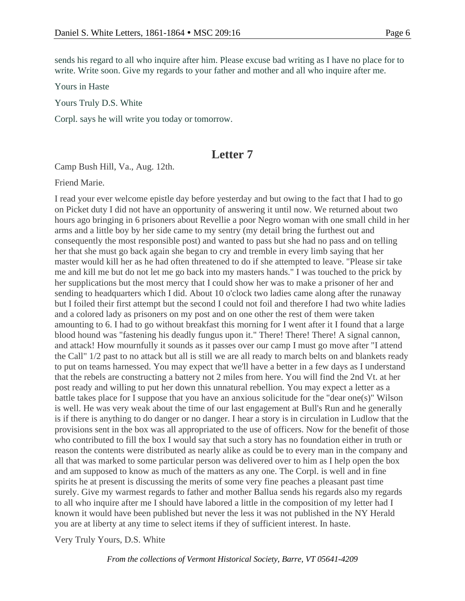sends his regard to all who inquire after him. Please excuse bad writing as I have no place for to write. Write soon. Give my regards to your father and mother and all who inquire after me.

Yours in Haste

Yours Truly D.S. White

Corpl. says he will write you today or tomorrow.

### **Letter 7**

Camp Bush Hill, Va., Aug. 12th.

Friend Marie.

I read your ever welcome epistle day before yesterday and but owing to the fact that I had to go on Picket duty I did not have an opportunity of answering it until now. We returned about two hours ago bringing in 6 prisoners about Revellie a poor Negro woman with one small child in her arms and a little boy by her side came to my sentry (my detail bring the furthest out and consequently the most responsible post) and wanted to pass but she had no pass and on telling her that she must go back again she began to cry and tremble in every limb saying that her master would kill her as he had often threatened to do if she attempted to leave. "Please sir take me and kill me but do not let me go back into my masters hands." I was touched to the prick by her supplications but the most mercy that I could show her was to make a prisoner of her and sending to headquarters which I did. About 10 o'clock two ladies came along after the runaway but I foiled their first attempt but the second I could not foil and therefore I had two white ladies and a colored lady as prisoners on my post and on one other the rest of them were taken amounting to 6. I had to go without breakfast this morning for I went after it I found that a large blood hound was "fastening his deadly fungus upon it." There! There! There! A signal cannon, and attack! How mournfully it sounds as it passes over our camp I must go move after "I attend the Call" 1/2 past to no attack but all is still we are all ready to march belts on and blankets ready to put on teams harnessed. You may expect that we'll have a better in a few days as I understand that the rebels are constructing a battery not 2 miles from here. You will find the 2nd Vt. at her post ready and willing to put her down this unnatural rebellion. You may expect a letter as a battle takes place for I suppose that you have an anxious solicitude for the "dear one(s)" Wilson is well. He was very weak about the time of our last engagement at Bull's Run and he generally is if there is anything to do danger or no danger. I hear a story is in circulation in Ludlow that the provisions sent in the box was all appropriated to the use of officers. Now for the benefit of those who contributed to fill the box I would say that such a story has no foundation either in truth or reason the contents were distributed as nearly alike as could be to every man in the company and all that was marked to some particular person was delivered over to him as I help open the box and am supposed to know as much of the matters as any one. The Corpl. is well and in fine spirits he at present is discussing the merits of some very fine peaches a pleasant past time surely. Give my warmest regards to father and mother Ballua sends his regards also my regards to all who inquire after me I should have labored a little in the composition of my letter had I known it would have been published but never the less it was not published in the NY Herald you are at liberty at any time to select items if they of sufficient interest. In haste.

Very Truly Yours, D.S. White

*From the collections of Vermont Historical Society, Barre, VT 05641-4209*